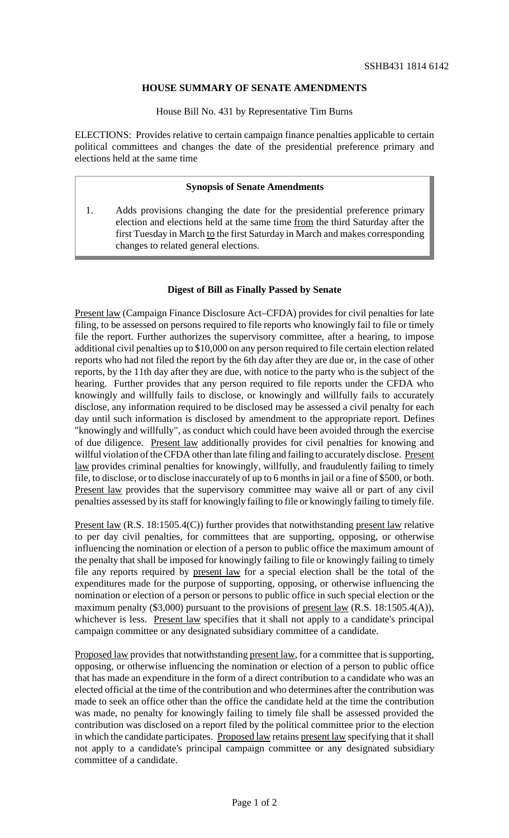## **HOUSE SUMMARY OF SENATE AMENDMENTS**

House Bill No. 431 by Representative Tim Burns

ELECTIONS: Provides relative to certain campaign finance penalties applicable to certain political committees and changes the date of the presidential preference primary and elections held at the same time

## **Synopsis of Senate Amendments**

1. Adds provisions changing the date for the presidential preference primary election and elections held at the same time from the third Saturday after the first Tuesday in March to the first Saturday in March and makes corresponding changes to related general elections.

## **Digest of Bill as Finally Passed by Senate**

Present law (Campaign Finance Disclosure Act–CFDA) provides for civil penalties for late filing, to be assessed on persons required to file reports who knowingly fail to file or timely file the report. Further authorizes the supervisory committee, after a hearing, to impose additional civil penalties up to \$10,000 on any person required to file certain election related reports who had not filed the report by the 6th day after they are due or, in the case of other reports, by the 11th day after they are due, with notice to the party who is the subject of the hearing. Further provides that any person required to file reports under the CFDA who knowingly and willfully fails to disclose, or knowingly and willfully fails to accurately disclose, any information required to be disclosed may be assessed a civil penalty for each day until such information is disclosed by amendment to the appropriate report. Defines "knowingly and willfully", as conduct which could have been avoided through the exercise of due diligence. Present law additionally provides for civil penalties for knowing and willful violation of the CFDA other than late filing and failing to accurately disclose. Present law provides criminal penalties for knowingly, willfully, and fraudulently failing to timely file, to disclose, or to disclose inaccurately of up to 6 monthsin jail or a fine of \$500, or both. Present law provides that the supervisory committee may waive all or part of any civil penalties assessed by its staff for knowingly failing to file or knowingly failing to timely file.

Present law (R.S. 18:1505.4(C)) further provides that notwithstanding present law relative to per day civil penalties, for committees that are supporting, opposing, or otherwise influencing the nomination or election of a person to public office the maximum amount of the penalty that shall be imposed for knowingly failing to file or knowingly failing to timely file any reports required by present law for a special election shall be the total of the expenditures made for the purpose of supporting, opposing, or otherwise influencing the nomination or election of a person or persons to public office in such special election or the maximum penalty (\$3,000) pursuant to the provisions of <u>present law</u> (R.S. 18:1505.4(A)), whichever is less. Present law specifies that it shall not apply to a candidate's principal campaign committee or any designated subsidiary committee of a candidate.

Proposed law provides that notwithstanding present law, for a committee that is supporting, opposing, or otherwise influencing the nomination or election of a person to public office that has made an expenditure in the form of a direct contribution to a candidate who was an elected official at the time of the contribution and who determines after the contribution was made to seek an office other than the office the candidate held at the time the contribution was made, no penalty for knowingly failing to timely file shall be assessed provided the contribution was disclosed on a report filed by the political committee prior to the election in which the candidate participates. Proposed law retains present law specifying that it shall not apply to a candidate's principal campaign committee or any designated subsidiary committee of a candidate.